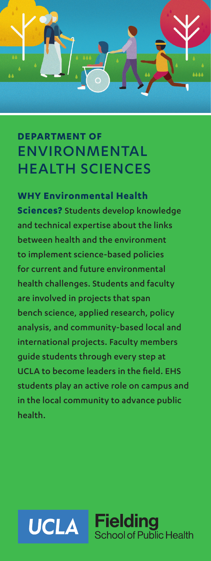# **DEPARTMENT OF** ENVIRONMENTAL HEALTH SCIENCES

....

## **WHY Environmental Health**

**Sciences?** Students develop knowledge and technical expertise about the links between health and the environment to implement science-based policies for current and future environmental health challenges. Students and faculty are involved in projects that span bench science, applied research, policy analysis, and community-based local and international projects. Faculty members guide students through every step at UCLA to become leaders in the field. EHS students play an active role on campus and in the local community to advance public health.

### **Fielding UCLA** School of Public Health